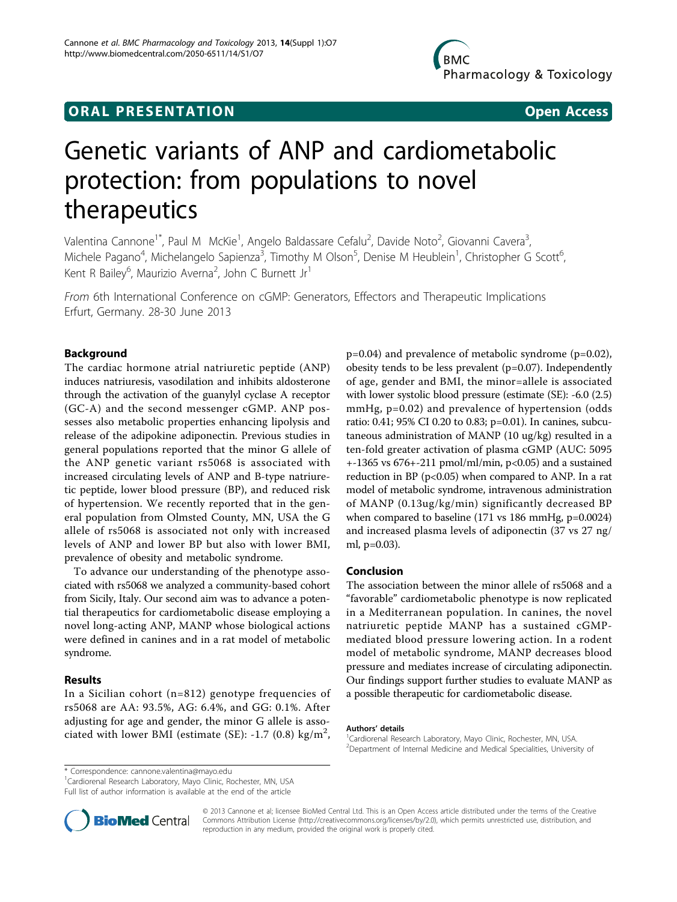# **ORAL PRESENTATION OPEN ACCESS**

# Genetic variants of ANP and cardiometabolic protection: from populations to novel therapeutics

Valentina Cannone<sup>1\*</sup>, Paul M McKie<sup>1</sup>, Angelo Baldassare Cefalu<sup>2</sup>, Davide Noto<sup>2</sup>, Giovanni Cavera<sup>3</sup> , Michele Pagano<sup>4</sup>, Michelangelo Sapienza<sup>3</sup>, Timothy M Olson<sup>5</sup>, Denise M Heublein<sup>1</sup>, Christopher G Scott<sup>6</sup> י<br>, Kent R Bailey<sup>6</sup>, Maurizio Averna<sup>2</sup>, John C Burnett Jr<sup>1</sup>

From 6th International Conference on cGMP: Generators, Effectors and Therapeutic Implications Erfurt, Germany. 28-30 June 2013

## Background

The cardiac hormone atrial natriuretic peptide (ANP) induces natriuresis, vasodilation and inhibits aldosterone through the activation of the guanylyl cyclase A receptor (GC-A) and the second messenger cGMP. ANP possesses also metabolic properties enhancing lipolysis and release of the adipokine adiponectin. Previous studies in general populations reported that the minor G allele of the ANP genetic variant rs5068 is associated with increased circulating levels of ANP and B-type natriuretic peptide, lower blood pressure (BP), and reduced risk of hypertension. We recently reported that in the general population from Olmsted County, MN, USA the G allele of rs5068 is associated not only with increased levels of ANP and lower BP but also with lower BMI, prevalence of obesity and metabolic syndrome.

To advance our understanding of the phenotype associated with rs5068 we analyzed a community-based cohort from Sicily, Italy. Our second aim was to advance a potential therapeutics for cardiometabolic disease employing a novel long-acting ANP, MANP whose biological actions were defined in canines and in a rat model of metabolic syndrome.

#### Results

In a Sicilian cohort (n=812) genotype frequencies of rs5068 are AA: 93.5%, AG: 6.4%, and GG: 0.1%. After adjusting for age and gender, the minor G allele is associated with lower BMI (estimate (SE): -1.7 (0.8) kg/m<sup>2</sup>,

p=0.04) and prevalence of metabolic syndrome (p=0.02), obesity tends to be less prevalent (p=0.07). Independently of age, gender and BMI, the minor=allele is associated with lower systolic blood pressure (estimate (SE): -6.0 (2.5) mmHg, p=0.02) and prevalence of hypertension (odds ratio: 0.41; 95% CI 0.20 to 0.83; p=0.01). In canines, subcutaneous administration of MANP (10 ug/kg) resulted in a ten-fold greater activation of plasma cGMP (AUC: 5095  $+1365$  vs  $676+211$  pmol/ml/min,  $p<0.05$ ) and a sustained reduction in BP ( $p<0.05$ ) when compared to ANP. In a rat model of metabolic syndrome, intravenous administration of MANP (0.13ug/kg/min) significantly decreased BP when compared to baseline (171 vs 186 mmHg, p=0.0024) and increased plasma levels of adiponectin (37 vs 27 ng/ ml, p=0.03).

### Conclusion

The association between the minor allele of rs5068 and a "favorable" cardiometabolic phenotype is now replicated in a Mediterranean population. In canines, the novel natriuretic peptide MANP has a sustained cGMPmediated blood pressure lowering action. In a rodent model of metabolic syndrome, MANP decreases blood pressure and mediates increase of circulating adiponectin. Our findings support further studies to evaluate MANP as a possible therapeutic for cardiometabolic disease.

#### Authors' details <sup>1</sup>

\* Correspondence: [cannone.valentina@mayo.edu](mailto:cannone.valentina@mayo.edu)

<sup>1</sup>Cardiorenal Research Laboratory, Mayo Clinic, Rochester, MN, USA

Full list of author information is available at the end of the article



© 2013 Cannone et al; licensee BioMed Central Ltd. This is an Open Access article distributed under the terms of the Creative Commons Attribution License [\(http://creativecommons.org/licenses/by/2.0](http://creativecommons.org/licenses/by/2.0)), which permits unrestricted use, distribution, and reproduction in any medium, provided the original work is properly cited.

Cardiorenal Research Laboratory, Mayo Clinic, Rochester, MN, USA. 2 Department of Internal Medicine and Medical Specialities, University of